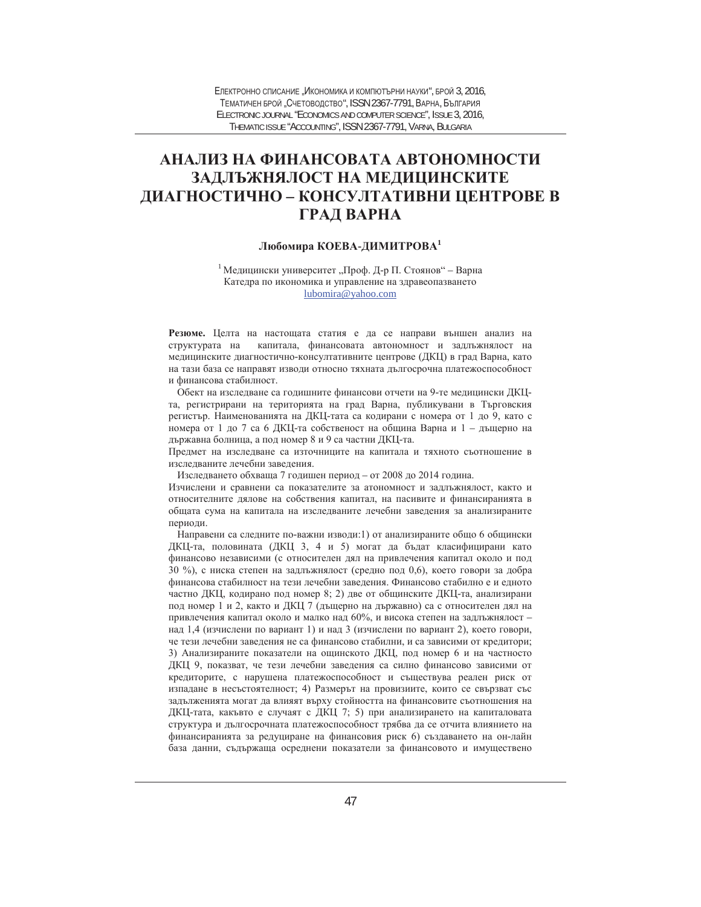# **ȺɇȺɅɂɁɇȺɎɂɇȺɇɋɈȼȺɌȺȺȼɌɈɇɈɆɇɈɋɌɂ** ЗАДЛЪЖНЯЛОСТ НА МЕДИЦИНСКИТЕ ДИАГНОСТИЧНО – КОНСУЛТАТИВНИ ЦЕНТРОВЕ В **ГРАД ВАРНА**

# $\Lambda$ юбомира КОЕВА-ДИМИТРОВА<sup>1</sup>

<sup>1</sup> Медицински университет "Проф. Д-р П. Стоянов" – Варна Катедра по икономика и управление на здравеопазването lubomira@yahoo.com

Резюме. Целта на настощата статия е да се направи външен анализ на структурата на капитала, финансовата автономност и задлъжнялост на медицинските диагностично-консултативните центрове (ДКЦ) в град Варна, като на тази база се направят изводи относно тяхната дългосрочна платежоспособност и финансова стабилност.

Обект на изследване са годишните финансови отчети на 9-те медицински ДКЦта, регистрирани на територията на град Варна, публикувани в Търговския регистър. Наименованията на ДКЦ-тата са кодирани с номера от 1 до 9, като с номера от 1 до 7 са 6 ДКЦ-та собственост на община Варна и 1 - дъщерно на държавна болница, а под номер 8 и 9 са частни ДКЦ-та.

Предмет на изследване са източниците на капитала и тяхното съотношение в изследваните лечебни заведения.

Изследването обхваща 7 годишен период – от 2008 до 2014 година.

Изчислени и сравнени са показателите за атономност и задлъжнялост, както и относителните дялове на собствения капитал, на пасивите и финансиранията в общата сума на капитала на изследваните лечебни заведения за анализираните периоди.

Направени са следните по-важни изводи:1) от анализираните общо 6 общински ДКЦ-та, половината (ДКЦ 3, 4 и 5) могат да бъдат класифицирани като финансово независими (с относителен дял на привлечения капитал около и под 30 %), с ниска степен на задлъжнялост (средно под 0,6), което говори за добра финансова стабилност на тези лечебни заведения. Финансово стабилно е и едното частно ДКЦ, кодирано под номер 8; 2) две от общинските ДКЦ-та, анализирани под номер 1 и 2, както и ДКЦ 7 (дъщерно на държавно) са с относителен дял на привлечения капитал около и малко над 60%, и висока степен на задлъжнялост над 1,4 (изчислени по вариант 1) и над 3 (изчислени по вариант 2), което говори, че тези лечебни заведения не са финансово стабилни, и са зависими от кредитори; 3) Анализираните показатели на ощинското ДКЦ, под номер 6 и на частносто ДКЦ 9, показват, че тези лечебни заведения са силно финансово зависими от кредиторите, с нарушена платежоспособност и съществува реален риск от изпадане в несъстоятелност; 4) Размерът на провизиите, които се свързват със задълженията могат да влияят върху стойността на финансовите съотношения на ДКЦ-тата, какъвто е случаят с ДКЦ 7; 5) при анализирането на капиталовата структура и дългосрочната платежоспособност трябва да се отчита влиянието на финансиранията за редуциране на финансовия риск 6) създаването на он-лайн база данни, съдържаща осреднени показатели за финансовото и имуществено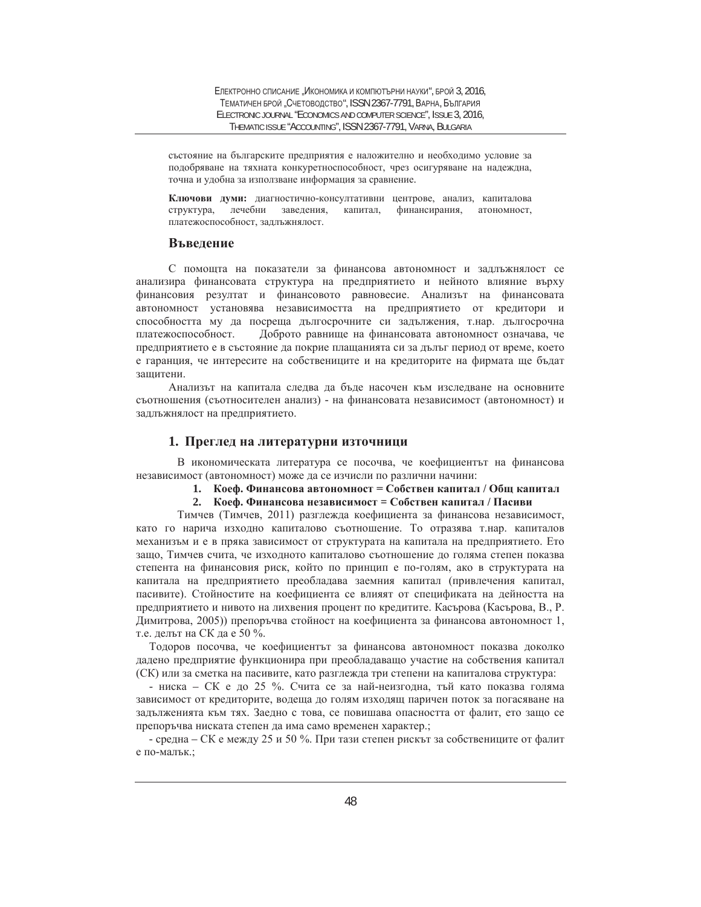състояние на българските предприятия е наложително и необходимо условие за подобряване на тяхната конкуретноспособност, чрез осигуряване на надеждна, точна и удобна за използване информация за сравнение.

Ключови думи: диагностично-консултативни центрове, анализ, капиталова структура, лечебни заведения, капитал, финансирания, атономност, платежоспособност, задлъжнялост.

### **Въведение**

С помощта на показатели за финансова автономност и задлъжнялост се анализира финансовата структура на предприятието и нейното влияние върху финансовия резултат и финансовото равновесие. Анализът на финансовата автономност установява независимостта на предприятието от кредитори и способността му да посреща дългосрочните си задължения, т.нар. дългосрочна платежоспособност. Доброто равнище на финансовата автономност означава, че предприятието е в състояние да покрие плащанията си за дълъг период от време, което е гаранция, че интересите на собствениците и на кредиторите на фирмата ще бъдат защитени.

Анализът на капитала слелва ла бъле насочен към изслелване на основните съотношения (съотносителен анализ) - на финансовата независимост (автономност) и задлъжнялост на предприятието.

## 1. Преглед на литературни източници

В икономическата литература се посочва, че коефициентът на финансова независимост (автономност) може да се изчисли по различни начини:

- 1. Коеф. Финансова автономност = Собствен капитал / Общ капитал
- 2. Коеф. Финансова независимост = Собствен капитал / Пасиви

Тимчев (Тимчев, 2011) разглежда коефициента за финансова независимост, като го нарича изходно капиталово съотношение. То отразява т.нар. капиталов механизъм и е в пряка зависимост от структурата на капитала на предприятието. Ето защо, Тимчев счита, че изходното капиталово съотношение до голяма степен показва степента на финансовия риск, който по принцип е по-голям, ако в структурата на капитала на предприятието преобладава заемния капитал (привлечения капитал, пасивите). Стойностите на коефициента се влияят от спецификата на дейността на предприятието и нивото на лихвения процент по кредитите. Касърова (Касърова, В., Р. Димитрова, 2005) препоръчва стойност на коефициента за финансова автономност 1, т.е. делът на СК да е 50 %.

Тодоров посочва, че коефициентът за финансова автономност показва доколко дадено предприятие функционира при преобладаващо участие на собствения капитал (СК) или за сметка на пасивите, като разглежда три степени на капиталова структура:

- ниска – СК е до 25 %. Счита се за най-неизгодна, тъй като показва голяма зависимост от кредиторите, водеща до голям изходящ паричен поток за погасяване на задълженията към тях. Заедно с това, се повишава опасността от фалит, ето защо се препоръчва ниската степен да има само временен характер.;

- средна – СК е между 25 и 50 %. При тази степен рискът за собствениците от фалит е по-малък.;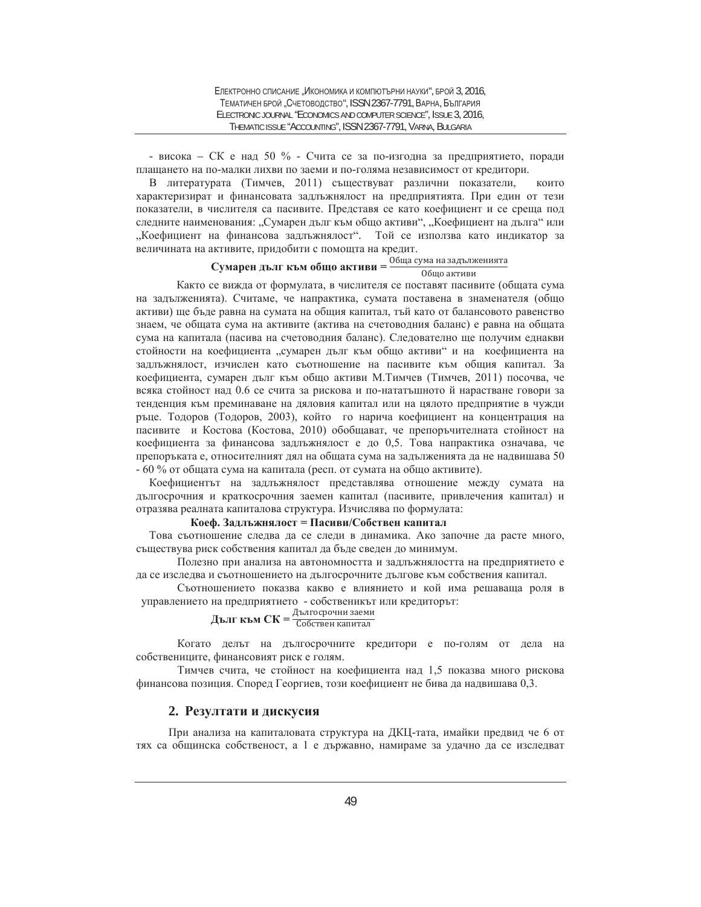- висока – СК е над 50 % - Счита се за по-изгодна за предприятието, поради плащането на по-малки лихви по заеми и по-голяма независимост от кредитори.

В литературата (Тимчев, 2011) съществуват различни показатели, които характеризират и финансовата задлъжнялост на предприятията. При един от тези показатели, в числителя са пасивите. Представя се като коефициент и се среща под следните наименования: "Сумарен дълг към общо активи", "Коефициент на дълга" или "Коефициент на финансова задлъжнялост". Той се използва като индикатор за величината на активите, придобити с помощта на кредит.

# $\mathbf{C}\mathbf{y}$ **марен дълг към общо активи** =  $\frac{06\mu a \text{ cy}}{06\mu q \text{ arrb}}$ ия на задълженията

Както се вижда от формулата, в числителя се поставят пасивите (общата сума на задълженията). Считаме, че напрактика, сумата поставена в знаменателя (общо активи) ще бъде равна на сумата на общия капитал, тъй като от балансовото равенство знаем, че общата сума на активите (актива на счетоводния баланс) е равна на общата сума на капитала (пасива на счетоводния баланс). Следователно ще получим еднакви стойности на коефициента "сумарен дълг към общо активи" и на коефициента на задлъжнялост, изчислен като съотношение на пасивите към общия капитал. За коефициента, сумарен дълг към общо активи М.Тимчев (Тимчев, 2011) посочва, че всяка стойност над 0.6 се счита за рискова и по-нататъшното й нарастване говори за тенденция към преминаване на дяловия капитал или на цялото предприятие в чужди ръце. Тодоров (Тодоров, 2003), който го нарича коефициент на концентрация на пасивите и Костова (Костова, 2010) обобщават, че препоръчителната стойност на коефициента за финансова задлъжнялост е до 0,5. Това напрактика означава, че препоръката е, относителният дял на общата сума на задълженията да не надвишава 50 - 60 % от общата сума на капитала (респ. от сумата на общо активите).

Коефициентът на задлъжнялост представлява отношение между сумата на дългосрочния и краткосрочния заемен капитал (пасивите, привлечения капитал) и отразява реалната капиталова структура. Изчислява по формулата:

### Коеф. Задлъжнялост = Пасиви/Собствен капитал

Това съотношение следва да се следи в динамика. Ако започне да расте много, съществува риск собствения капитал да бъде сведен до минимум.

Полезно при анализа на автономността и задлъжнялостта на предприятието е да се изследва и съотношението на дългосрочните дългове към собствения капитал.

Съотношението показва какво е влиянието и кой има решаваща роля в управлението на предприятието - собственикът или кредиторът:

# Д**ълг към СК** = <sup>Дългосрочни заеми</sup>

Когато делът на дългосрочните кредитори е по-голям от дела на собствениците, финансовият риск е голям.

Тимчев счита, че стойност на коефициента над 1,5 показва много рискова финансова позиция. Според Георгиев, този коефициент не бива да надвишава 0,3.

# 2. Резултати и дискусия

При анализа на капиталовата структура на ДКЦ-тата, имайки предвид че 6 от тях са общинска собственост, а 1 е държавно, намираме за удачно да се изследват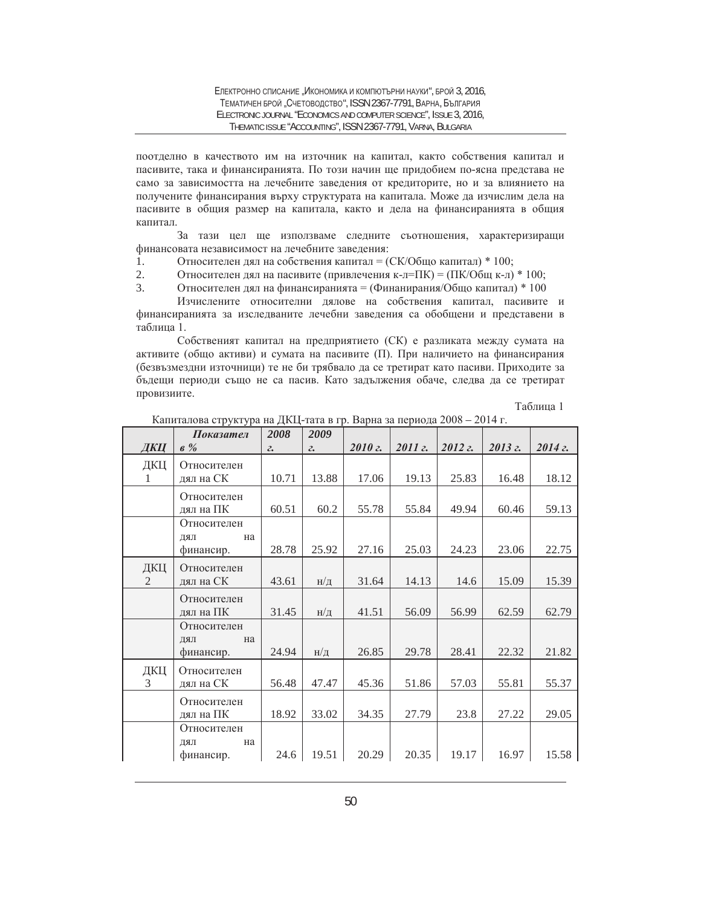поотделно в качеството им на източник на капитал, както собствения капитал и пасивите, така и финансиранията. По този начин ще придобием по-ясна представа не само за зависимостта на лечебните заведения от кредиторите, но и за влиянието на получените финансирания върху структурата на капитала. Може да изчислим дела на пасивите в общия размер на капитала, както и дела на финансиранията в общия капитал.

За тази цел ще използваме следните съотношения, характеризиращи финансовата независимост на лечебните заведения:

- 1. Относителен дял на собствения капитал =  $(CK/O6\mu\omega\)$  капитал) \* 100;
- 2. Относителен дял на пасивите (привлечения к-л=ПК) =  $(\Pi K/O6u_K)$  \* 100;
- 3. Относителен дял на финансиранията = (Финанирания/Общо капитал) \* 100

Изчислените относителни дялове на собствения капитал, пасивите и финансиранията за изследваните лечебни заведения са обобщени и представени в таблица 1.

Собственият капитал на предприятието (СК) е разликата между сумата на активите (общо активи) и сумата на пасивите (П). При наличието на финансирания (безвъзмездни източници) те не би трябвало да се третират като пасиви. Приходите за бъдещи периоди също не са пасив. Като задължения обаче, следва да се третират провизиите.

Таблица 1

|                       | Показател                                                               | 2008             | 2009                    |       |       |           |           |           |
|-----------------------|-------------------------------------------------------------------------|------------------|-------------------------|-------|-------|-----------|-----------|-----------|
| ДКЦ                   | $6\%$                                                                   | $\mathfrak{c}$ . | $\mathcal{Z}_{\bullet}$ | 2010z | 2011z | $2012z$ . | $2013z$ . | $2014z$ . |
| ДКЦ<br>1.             | Относителен<br>дял на СК                                                | 10.71            | 13.88                   | 17.06 | 19.13 | 25.83     | 16.48     | 18.12     |
|                       | Относителен<br>лял на ПК                                                | 60.51            | 60.2                    | 55.78 | 55.84 | 49.94     | 60.46     | 59.13     |
|                       | Относителен<br>ПRЦ<br>на<br>финансир.                                   | 28.78            | 25.92                   | 27.16 | 25.03 | 24.23     | 23.06     | 22.75     |
| ДКЦ<br>$\mathfrak{D}$ | Относителен<br>дял на СК                                                | 43.61            | н/д                     | 31.64 | 14.13 | 14.6      | 15.09     | 15.39     |
|                       | Относителен<br>дял на ПК                                                | 31.45            | н/д                     | 41.51 | 56.09 | 56.99     | 62.59     | 62.79     |
|                       | Относителен<br>$\rm I\mathrm{L}\mathrm{R}\mathrm{L}$<br>на<br>финансир. | 24.94            | $H/\mathcal{I}$         | 26.85 | 29.78 | 28.41     | 22.32     | 21.82     |
| ДКЦ<br>$\mathcal{E}$  | Относителен<br>дял на СК                                                | 56.48            | 47.47                   | 45.36 | 51.86 | 57.03     | 55.81     | 55.37     |
|                       | Относителен<br>лял на ПК                                                | 18.92            | 33.02                   | 34.35 | 27.79 | 23.8      | 27.22     | 29.05     |
|                       | Относителен<br>ПКД<br>на<br>финансир.                                   | 24.6             | 19.51                   | 20.29 | 20.35 | 19.17     | 16.97     | 15.58     |

Капиталова структура на ДКЦ-тата в гр. Варна за периода 2008 – 2014 г.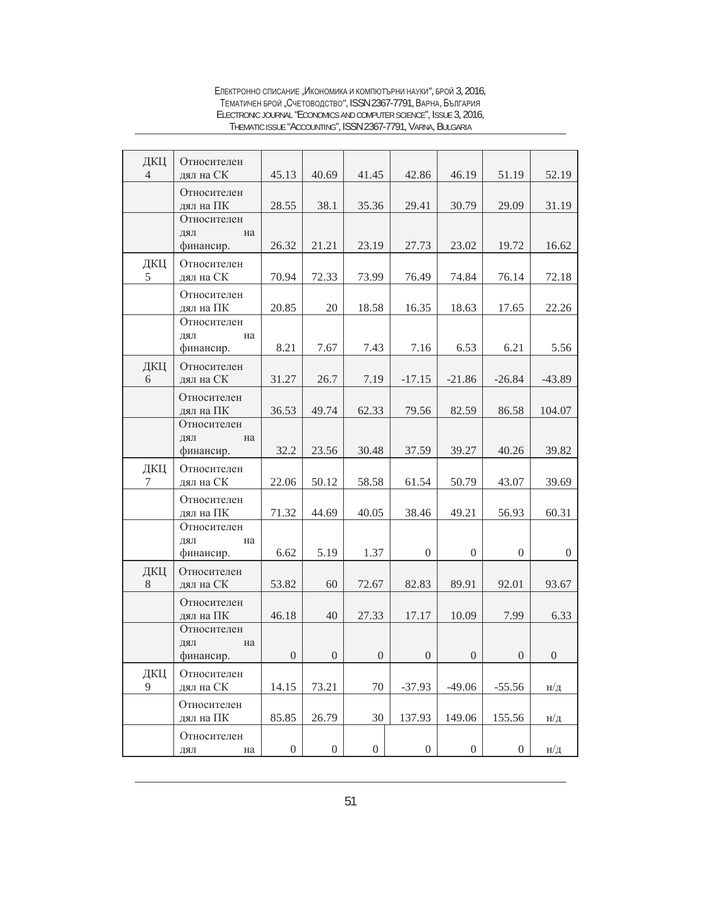| ДКЦ<br>4      | Относителен<br>дял на СК              | 45.13            | 40.69            | 41.45            | 42.86            | 46.19            | 51.19            | 52.19            |
|---------------|---------------------------------------|------------------|------------------|------------------|------------------|------------------|------------------|------------------|
|               | Относителен<br>дял на ПК              | 28.55            | 38.1             | 35.36            | 29.41            | 30.79            | 29.09            | 31.19            |
|               | Относителен<br>ДЯЛ<br>на              |                  |                  |                  |                  |                  |                  |                  |
|               | финансир.                             | 26.32            | 21.21            | 23.19            | 27.73            | 23.02            | 19.72            | 16.62            |
| ДКЦ<br>5      | Относителен<br>дял на СК              | 70.94            | 72.33            | 73.99            | 76.49            | 74.84            | 76.14            | 72.18            |
|               | Относителен<br>дял на ПК              | 20.85            | 20               | 18.58            | 16.35            | 18.63            | 17.65            | 22.26            |
|               | Относителен<br>ДЯЛ<br>на<br>финансир. | 8.21             | 7.67             | 7.43             | 7.16             | 6.53             | 6.21             | 5.56             |
| ДКЦ<br>6      | Относителен<br>дял на СК              | 31.27            | 26.7             | 7.19             | $-17.15$         | $-21.86$         | $-26.84$         | $-43.89$         |
|               | Относителен<br>дял на ПК              | 36.53            | 49.74            | 62.33            | 79.56            | 82.59            | 86.58            | 104.07           |
|               | Относителен<br>ДЯЛ<br>на<br>финансир. | 32.2             | 23.56            | 30.48            | 37.59            | 39.27            | 40.26            | 39.82            |
|               |                                       |                  |                  |                  |                  |                  |                  |                  |
| ДКЦ<br>$\tau$ | Относителен<br>дял на СК              | 22.06            | 50.12            | 58.58            | 61.54            | 50.79            | 43.07            | 39.69            |
|               | Относителен<br>дял на ПК              | 71.32            | 44.69            | 40.05            | 38.46            | 49.21            | 56.93            | 60.31            |
|               | Относителен<br>ДЯЛ<br>на<br>финансир. | 6.62             | 5.19             | 1.37             | $\overline{0}$   | $\overline{0}$   | $\overline{0}$   | $\overline{0}$   |
| ДКЦ<br>$8\,$  | Относителен<br>дял на СК              | 53.82            | 60               | 72.67            | 82.83            | 89.91            | 92.01            | 93.67            |
|               | Относителен<br>дял на ПК              | 46.18            | 40               | 27.33            | 17.17            | 10.09            | 7.99             | 6.33             |
|               | Относителен<br>ДЯЛ<br>на<br>финансир. | $\boldsymbol{0}$ | $\boldsymbol{0}$ | $\boldsymbol{0}$ | $\boldsymbol{0}$ | $\boldsymbol{0}$ | $\boldsymbol{0}$ | $\boldsymbol{0}$ |
| ДКЦ<br>9      | Относителен<br>дял на СК              | 14.15            | 73.21            | $70\,$           | $-37.93$         | $-49.06$         | $-55.56$         | н/д              |
|               | Относителен<br>дял на ПК              | 85.85            | 26.79            | 30               | 137.93           | 149.06           | 155.56           | $H/\mathcal{I}$  |
|               | Относителен<br>на<br>ДЯЛ              | $\boldsymbol{0}$ | $\boldsymbol{0}$ | $\boldsymbol{0}$ | $\boldsymbol{0}$ | $\boldsymbol{0}$ | $\overline{0}$   | н/д              |

Електронно списание "Икономика и компютърни науки", брой 3, 2016, ТЕМАТИЧЕН БРОЙ "СЧЕТОВОДСТВО", ISSN 2367-7791, ВАРНА, БЪЛГАРИЯ ELECTRONIC JOURNAL "ECONOMICS AND COMPUTER SCIENCE", ISSUE 3, 2016, THEMATIC ISSUE "ACCOUNTING", ISSN 2367-7791, VARNA, BULGARIA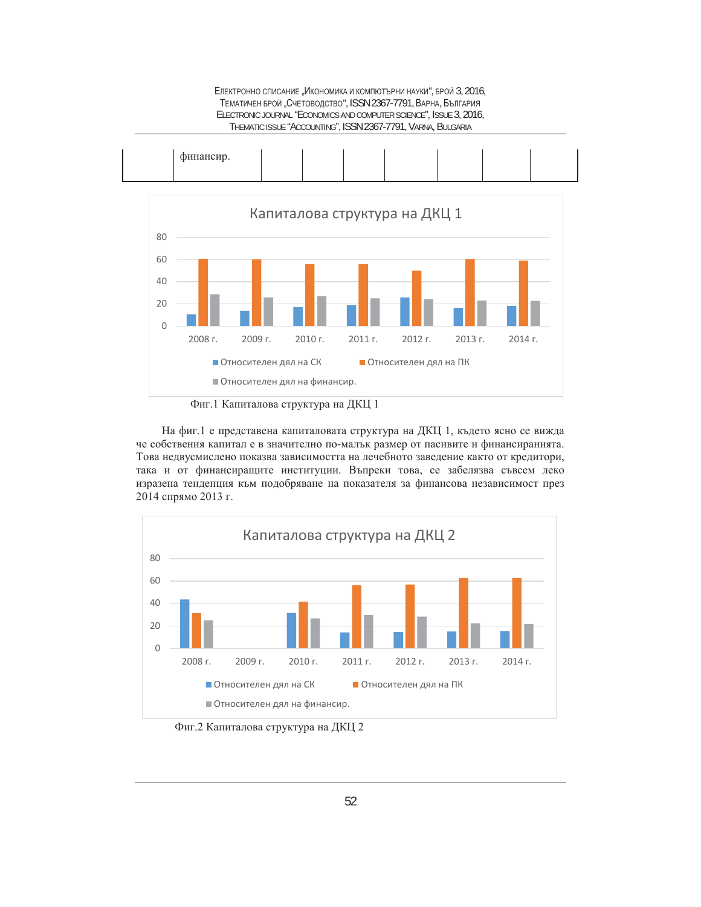

ЕЛЕКТРОННО СПИСАНИЕ "ИКОНОМИКА И КОМПЮТЪРНИ НАУКИ", БРОЙ 3, 2016, ТЕМАТИЧЕН БРОЙ "СЧЕТОВОДСТВО", ISSN 2367-7791, ВАРНА, БЪЛГАРИЯ ELECTRONIC JOURNAL "ECONOMICS AND COMPUTER SCIENCE", ISSUE 3, 2016,

На фиг.1 е представена капиталовата структура на ДКЦ 1, където ясно се вижда че собствения капитал е в значително по-малък размер от пасивите и финансиранията. Това недвусмислено показва зависимостта на лечебното заведение както от кредитори, така и от финансиращите институции. Въпреки това, се забелязва съвсем леко изразена тенденция към подобряване на показателя за финансова независимост през 2014 спрямо 2013 г.



Фиг.2 Капиталова структура на ДКЦ 2

Фиг.1 Капиталова структура на ДКЦ 1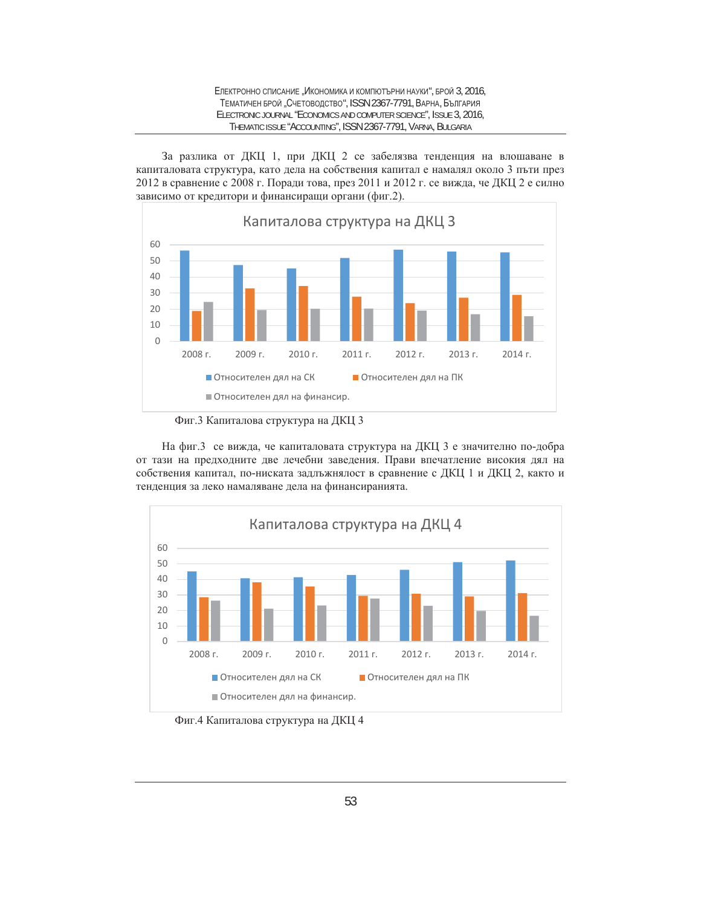За разлика от ДКЦ 1, при ДКЦ 2 се забелязва тенденция на влошаване в капиталовата структура, като дела на собствения капитал е намалял около 3 пъти през 2012 в сравнение с 2008 г. Поради това, през 2011 и 2012 г. се вижда, че ДКЦ 2 е силно зависимо от кредитори и финансиращи органи (фиг.2).



Фиг.3 Капиталова структура на ДКЦ 3

На фиг.3 се вижда, че капиталовата структура на ДКЦ 3 е значително по-добра от тази на предходните две лечебни заведения. Прави впечатление високия дял на собствения капитал, по-ниската задлъжнялост в сравнение с ДКЦ 1 и ДКЦ 2, както и тенденция за леко намаляване дела на финансиранията.



Фиг.4 Капиталова структура на ДКЦ 4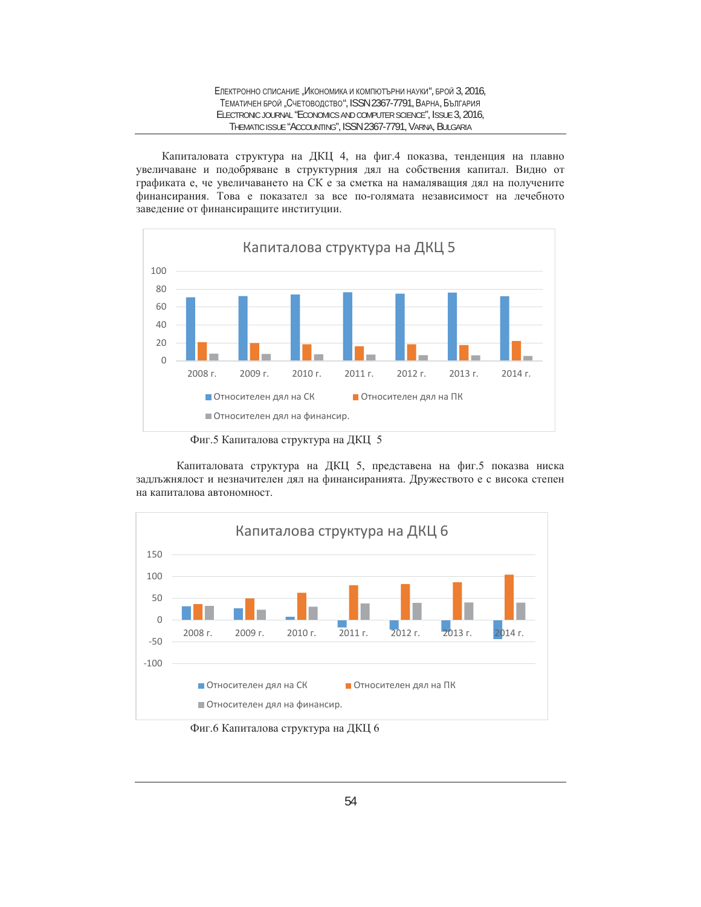### ЕЛЕКТРОННО СПИСАНИЕ "ИКОНОМИКА И КОМПЮТЪРНИ НАУКИ", БРОЙ 3, 2016, ТЕМАТИЧЕН БРОЙ "СЧЕТОВОДСТВО", ISSN 2367-7791, ВАРНА, БЪЛГАРИЯ ELECTRONIC JOURNAL "ECONOMICS AND COMPUTER SCIENCE", ISSUE 3, 2016, THEMATIC ISSUE "ACCOUNTING", ISSN 2367-7791, VARNA, BULGARIA

Капиталовата структура на ДКЦ 4, на фиг.4 показва, тенденция на плавно увеличаване и подобряване в структурния дял на собствения капитал. Видно от графиката е, че увеличаването на СК е за сметка на намаляващия дял на получените финансирания. Това е показател за все по-голямата независимост на лечебното заведение от финансиращите институции.



Фиг.5 Капиталова структура на ДКЦ 5

Капиталовата структура на ДКЦ 5, представена на фиг.5 показва ниска задлъжнялост и незначителен дял на финансиранията. Дружеството е с висока степен на капиталова автономност.



Фиг.6 Капиталова структура на ДКЦ 6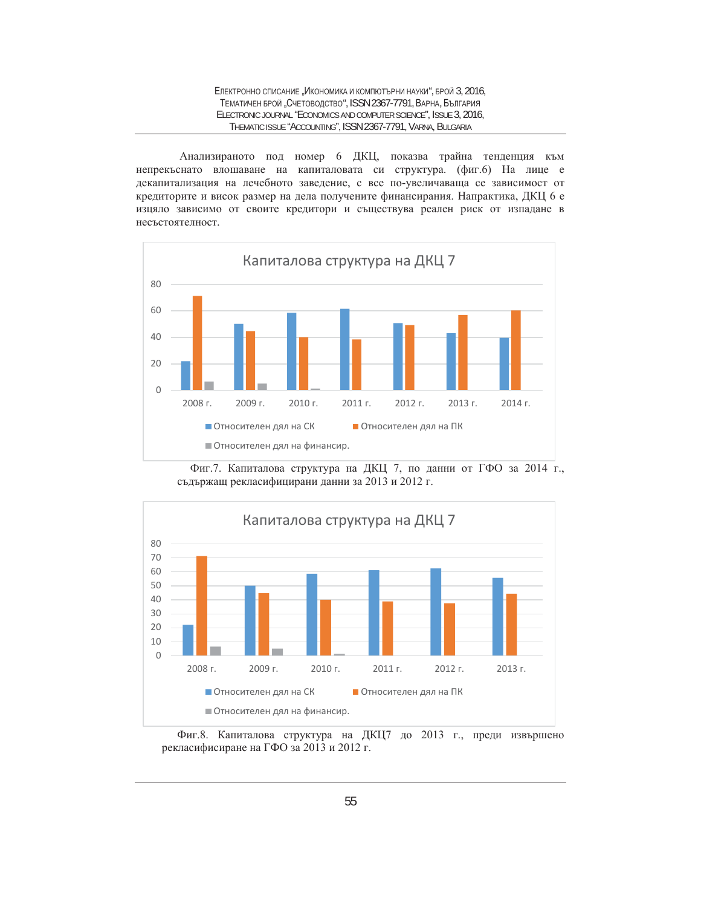Анализираното под номер 6 ДКЦ, показва трайна тенденция към непрекъснато влошаване на капиталовата си структура. (фиг.6) На лице е декапитализация на лечебното заведение, с все по-увеличаваща се зависимост от кредиторите и висок размер на дела получените финансирания. Напрактика, ДКЦ 6 е изцяло зависимо от своите кредитори и съществува реален риск от изпадане в несъстоятелност.







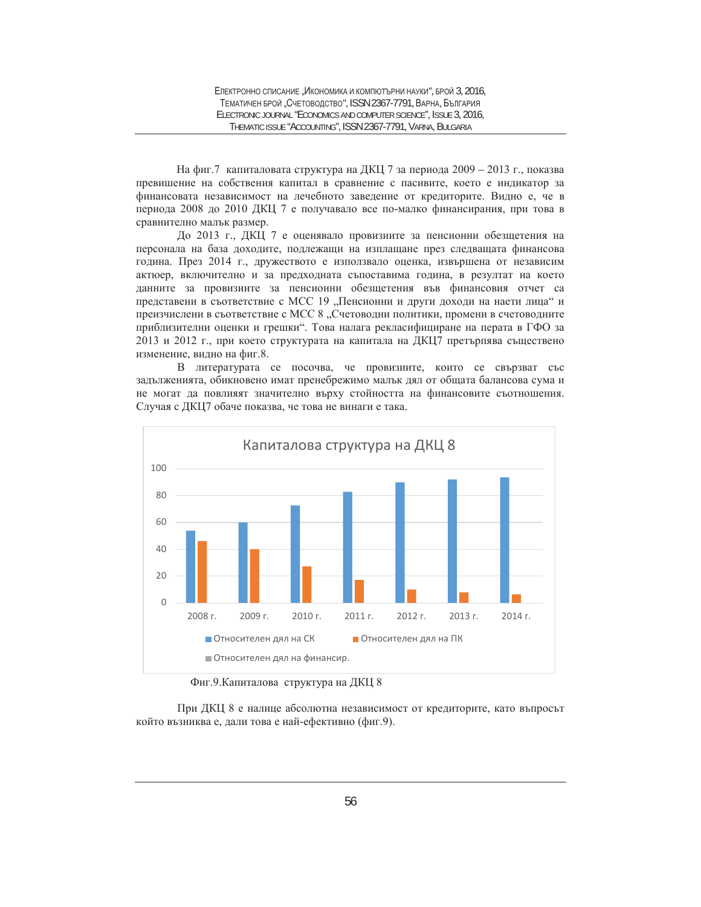На фиг.7 капиталовата структура на ДКЦ 7 за периода 2009 - 2013 г., показва превишение на собствения капитал в сравнение с пасивите, което е индикатор за финансовата независимост на лечебното заведение от кредиторите. Видно е, че в периода 2008 до 2010 ДКЦ 7 е получавало все по-малко финансирания, при това в сравнително малък размер.

До 2013 г., ДКЦ 7 е оценявало провизиите за пенсионни обезщетения на персонала на база доходите, подлежащи на изплащане през следващата финансова година. През 2014 г., дружеството е използвало оценка, извършена от независим актюер, включително и за предходната съпоставима година, в резултат на което данните за провизиите за пенсионни обезщетения във финансовия отчет са представени в съответствие с МСС 19 "Пенсионни и други доходи на наети лица" и преизчислени в съответствие с МСС 8 "Счетоводни политики, промени в счетоводните приблизителни оценки и грешки". Това налага рекласифициране на перата в ГФО за 2013 и 2012 г., при което структурата на капитала на ДКЦ7 претърпява съществено изменение, видно на фиг.8.

В литературата се посочва, че провизиите, които се свързват със задълженията, обикновено имат пренебрежимо малък дял от общата балансова сума и не могат да повлияят значително върху стойността на финансовите съотношения. Случая с ДКЦ7 обаче показва, че това не винаги е така.



Фиг.9. Капиталова структура на ДКЦ 8

При ДКЦ 8 е налице абсолютна независимост от кредиторите, като въпросът който възниква е, дали това е най-ефективно (фиг.9).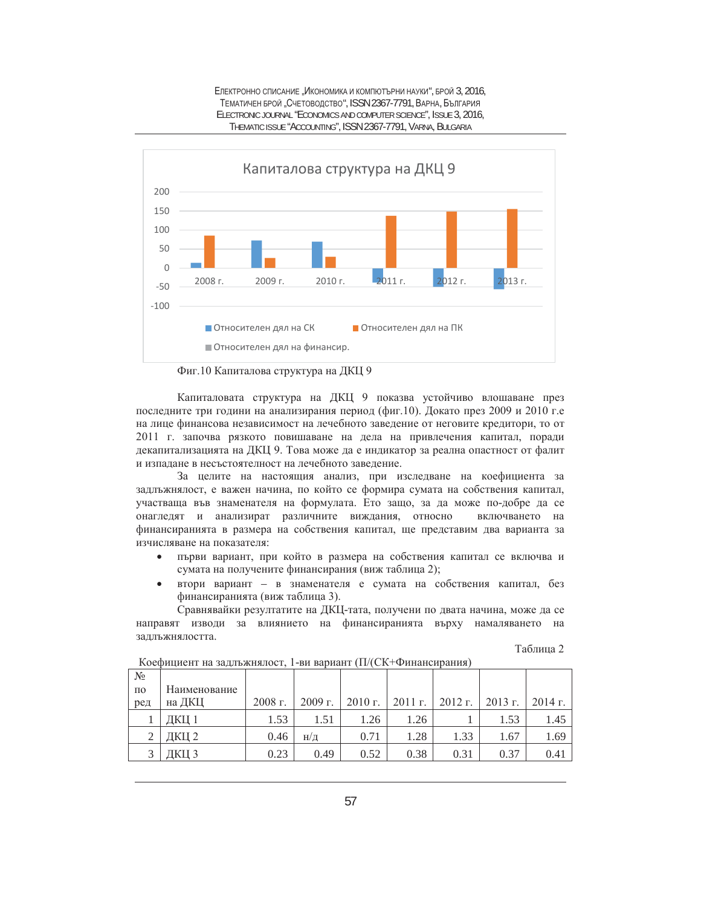



Фиг.10 Капиталова структура на ДКЦ 9

Капиталовата структура на ДКЦ 9 показва устойчиво влошаване през последните три години на анализирания период (фиг.10). Докато през 2009 и 2010 г.е на лице финансова независимост на лечебното заведение от неговите кредитори, то от 2011 г. започва рязкото повишаване на дела на привлечения капитал, поради декапитализацията на ДКЦ 9. Това може да е индикатор за реална опастност от фалит и изпадане в несъстоятелност на лечебното заведение.

За целите на настоящия анализ, при изследване на коефициента за задлъжнялост, е важен начина, по който се формира сумата на собствения капитал, участваща във знаменателя на формулата. Ето защо, за да може по-добре да се онагледят и анализират различните виждания, относно включването на финансиранията в размера на собствения капитал, ще представим два варианта за изчисляване на показателя:

- първи вариант, при който в размера на собствения капитал се включва и сумата на получените финансирания (виж таблица 2);
- втори вариант в знаменателя е сумата на собствения капитал, без финансиранията (виж таблица 3).

Сравнявайки резултатите на ДКЦ-тата, получени по двата начина, може да се направят изводи за влиянието на финансиранията върху намаляването на задлъжнялостта.

| аолина |  |
|--------|--|
|--------|--|

|                    | 1000         |           |                |         |           |           |         |           |
|--------------------|--------------|-----------|----------------|---------|-----------|-----------|---------|-----------|
| $N_{2}$            |              |           |                |         |           |           |         |           |
| $\Pi$ <sup>O</sup> | Наименование |           |                |         |           |           |         |           |
| ред                | на ДКЦ       | $2008$ г. | 2009 г.        | 2010 г. | $2011$ r. | $2012$ r. | 2013 г. | $2014$ r. |
|                    | ДКЦ 1        | 1.53      | 1.51           | 1.26    | 1.26      |           | 1.53    | 1.45      |
| $\gamma$           | ДКЦ 2        | 0.46      | $H/\mathbb{I}$ | 0.71    | 1.28      | 1.33      | 1.67    | 1.69      |
|                    | ІКШ 3        | 0.23      | 0.49           | 0.52    | 0.38      | 0.31      | 0.37    | 0.41      |

Коефиниент на заллъжнялост. 1-ви вариант (П/(СК+Финансирания)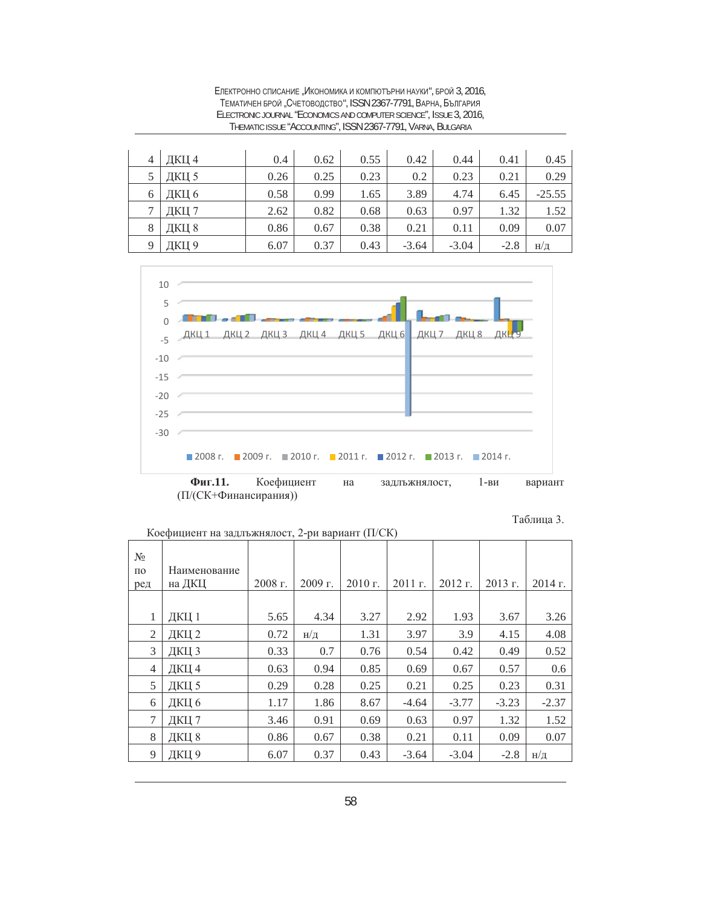| 4           | ДКЦ 4 | 0.4  | 0.62 | 0.55 | 0.42    | 0.44    | 0.41   | 0.45            |
|-------------|-------|------|------|------|---------|---------|--------|-----------------|
|             | ДКЦ 5 | 0.26 | 0.25 | 0.23 | 0.2     | 0.23    | 0.21   | 0.29            |
| 6           | ДКЦ 6 | 0.58 | 0.99 | 1.65 | 3.89    | 4.74    | 6.45   | $-25.55$        |
|             | ДКЦ 7 | 2.62 | 0.82 | 0.68 | 0.63    | 0.97    | 1.32   | 1.52            |
| 8           | ДКЦ 8 | 0.86 | 0.67 | 0.38 | 0.21    | 0.11    | 0.09   | 0.07            |
| $\mathbf Q$ | ДКЦ 9 | 6.07 | 0.37 | 0.43 | $-3.64$ | $-3.04$ | $-2.8$ | $H/\mathcal{I}$ |

ЕЛЕКТРОННО СПИСАНИЕ "ИКОНОМИКА И КОМПЮТЪРНИ НАУКИ", БРОЙ 3, 2016, ТЕМАТИЧЕН БРОЙ "СЧЕТОВОДСТВО", ISSN 2367-7791, ВАРНА, БЪЛГАРИЯ ELECTRONIC JOURNAL "ECONOMICS AND COMPUTER SCIENCE", ISSUE 3, 2016, THEMATIC ISSUE "ACCOUNTING", ISSN 2367-7791, VARNA, BULGARIA



(П/(СК+Финансирания))

Таблица 3.

| $N_2$<br>$\Pi$ <sup>O</sup><br>ред | Наименование<br>на ДКЦ | $2008$ г. | $2009$ г.       | $2010$ г. | $2011$ г. | $2012$ r. | 2013 г. | $2014$ г.       |
|------------------------------------|------------------------|-----------|-----------------|-----------|-----------|-----------|---------|-----------------|
| 1                                  | ДКЦ 1                  | 5.65      | 4.34            | 3.27      | 2.92      | 1.93      | 3.67    | 3.26            |
| 2                                  | ДКЦ 2                  | 0.72      | $H/\mathcal{I}$ | 1.31      | 3.97      | 3.9       | 4.15    | 4.08            |
| 3                                  | ДКЦ 3                  | 0.33      | 0.7             | 0.76      | 0.54      | 0.42      | 0.49    | 0.52            |
| 4                                  | ДКЦ 4                  | 0.63      | 0.94            | 0.85      | 0.69      | 0.67      | 0.57    | 0.6             |
| 5                                  | ДКЦ 5                  | 0.29      | 0.28            | 0.25      | 0.21      | 0.25      | 0.23    | 0.31            |
| 6                                  | ДКЦ 6                  | 1.17      | 1.86            | 8.67      | $-4.64$   | $-3.77$   | $-3.23$ | $-2.37$         |
| 7                                  | ДКЦ 7                  | 3.46      | 0.91            | 0.69      | 0.63      | 0.97      | 1.32    | 1.52            |
| 8                                  | ДКЦ 8                  | 0.86      | 0.67            | 0.38      | 0.21      | 0.11      | 0.09    | 0.07            |
| 9                                  | ДКЦ 9                  | 6.07      | 0.37            | 0.43      | $-3.64$   | $-3.04$   | $-2.8$  | $H/\mathcal{I}$ |

Коефициент на задлъжнялост, 2-ри вариант (П/СК)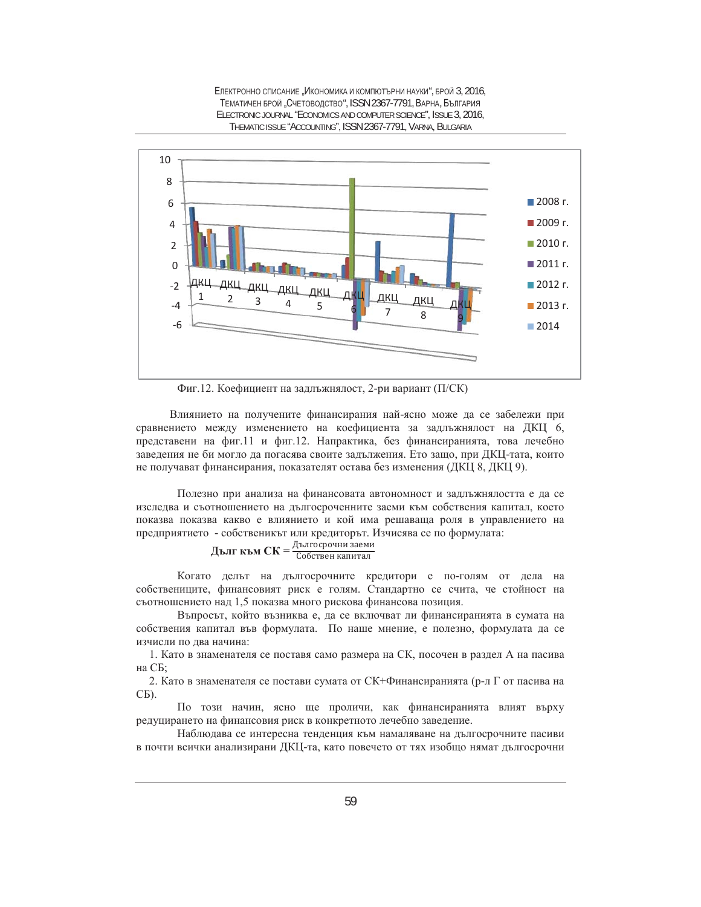

ЕЛЕКТРОННО СПИСАНИЕ "ИКОНОМИКА И КОМПЮТЪРНИ НАУКИ", БРОЙ 3, 2016, ТЕМАТИЧЕН БРОЙ "СЧЕТОВОДСТВО", ISSN 2367-7791, ВАРНА, БЪЛГАРИЯ ELECTRONIC JOURNAL "ECONOMICS AND COMPUTER SCIENCE", ISSUE 3, 2016, THEMATIC ISSUE "ACCOUNTING", ISSN 2367-7791, VARNA, BULGARIA

Фиг.12. Коефициент на задлъжнялост, 2-ри вариант (П/СК)

Влиянието на получените финансирания най-ясно може да се забележи при сравнението между изменението на коефициента за задлъжнялост на ДКЦ 6, представени на фиг.11 и фиг.12. Напрактика, без финансиранията, това лечебно заведения не би могло да погасява своите задължения. Ето защо, при ДКЦ-тата, които не получават финансирания, показателят остава без изменения (ДКЦ 8, ДКЦ 9).

Полезно при анализа на финансовата автономност и задлъжнялостта е да се изследва и съотношението на дългосроченните заеми към собствения капитал, което показва показва какво е влиянието и кой има решаваща роля в управлението на предприятието - собственикът или кредиторът. Изчисява се по формулата:

$$
\mu_{\text{b,II}} \text{Kb,CK} = \frac{\mu_{\text{b,II}} \text{осрочни заеми}}{\text{Собствен капитал}}
$$

Когато делът на дългосрочните кредитори е по-голям от дела на собствениците, финансовият риск е голям. Стандартно се счита, че стойност на съотношението над 1,5 показва много рискова финансова позиция.

Въпросът, който възниква е, да се включват ли финансиранията в сумата на собствения капитал във формулата. По наше мнение, е полезно, формулата да се изчисли по два начина:

1. Като в знаменателя се поставя само размера на СК, посочен в раздел А на пасива на СБ;

2. Като в знаменателя се постави сумата от СК+Финансиранията (р-л Г от пасива на CБ).

По този начин, ясно ще проличи, как финансиранията влият върху редуцирането на финансовия риск в конкретното лечебно заведение.

Наблюдава се интересна тенденция към намаляване на дългосрочните пасиви в почти всички анализирани ДКЦ-та, като повечето от тях изобщо нямат дългосрочни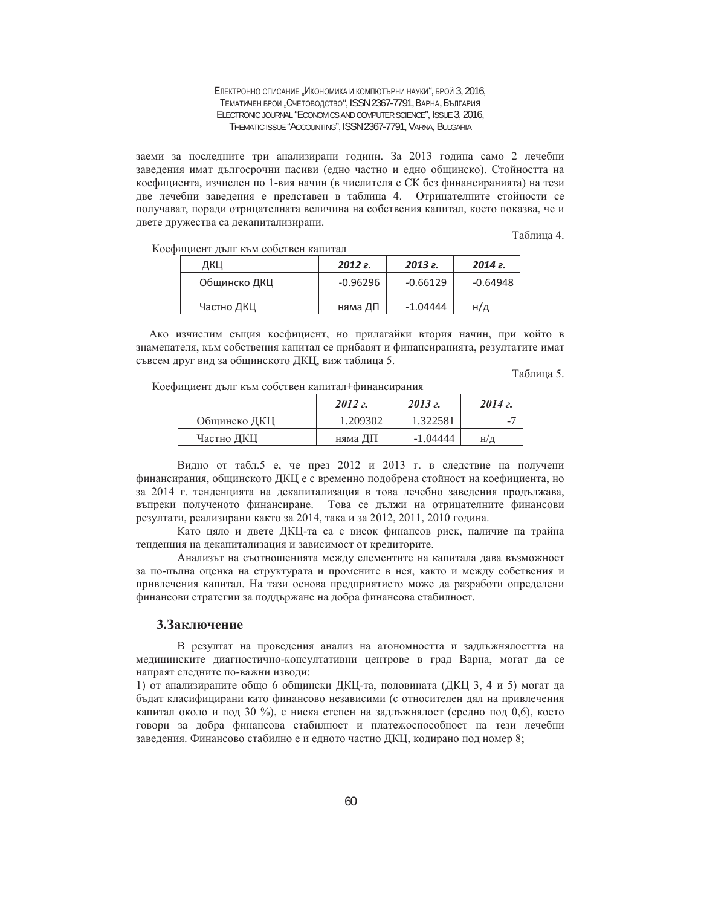заеми за последните три анализирани години. За 2013 година само 2 лечебни заведения имат дългосрочни пасиви (едно частно и едно общинско). Стойността на коефициента, изчислен по 1-вия начин (в числителя е СК без финансиранията) на тези две лечебни заведения е представен в таблица 4. Отрицателните стойности се получават, поради отрицателната величина на собствения капитал, което показва, че и двете дружества са декапитализирани.

Таблина 4.

Коефициент дълг към собствен капитал

| ДКЦ          | 2012 <i>z</i> . | 2013 <i>e.</i> | 2014 г.    |
|--------------|-----------------|----------------|------------|
| Общинско ДКЦ | $-0.96296$      | $-0.66129$     | $-0.64948$ |
| Частно ДКЦ   | няма ДП         | $-1.04444$     | H/д        |

Ако изчислим същия коефициент, но прилагайки втория начин, при който в знаменателя, към собствения капитал се прибавят и финансиранията, резултатите имат съвсем друг вид за общинското ДКЦ, виж таблица 5.

Таблина 5.

Коефициент дълг към собствен капитал+финансирания

|              | 2012z    | 2013z      | 2014z |
|--------------|----------|------------|-------|
| Общинско ДКЦ | 1.209302 | 1.322581   | -     |
| Частно ДКЦ   | няма ДП  | $-1.04444$ | H/Д   |

Видно от табл.5 е, че през 2012 и 2013 г. в следствие на получени финансирания, общинското ДКЦ е с временно подобрена стойност на коефициента, но за 2014 г. тенденцията на декапитализация в това лечебно заведения продължава, въпреки полученото финансиране. Това се дължи на отрицателните финансови резултати, реализирани както за 2014, така и за 2012, 2011, 2010 година.

Като цяло и двете ДКЦ-та са с висок финансов риск, наличие на трайна тенденция на декапитализация и зависимост от кредиторите.

Анализът на съотношенията между елементите на капитала дава възможност за по-пълна оценка на структурата и промените в нея, както и между собствения и привлечения капитал. На тази основа предприятието може да разработи определени финансови стратегии за поддържане на добра финансова стабилност.

## 3.3аключение

В резултат на проведения анализ на атономността и задлъжнялосттта на медицинските диагностично-консултативни центрове в град Варна, могат да се напраят следните по-важни изводи:

1) от анализираните общо 6 общински ДКЦ-та, половината (ДКЦ 3, 4 и 5) могат да бъдат класифицирани като финансово независими (с относителен дял на привлечения капитал около и под 30 %), с ниска степен на задлъжнялост (средно под 0,6), което говори за добра финансова стабилност и платежоспособност на тези лечебни заведения. Финансово стабилно е и едното частно ДКЦ, кодирано под номер 8;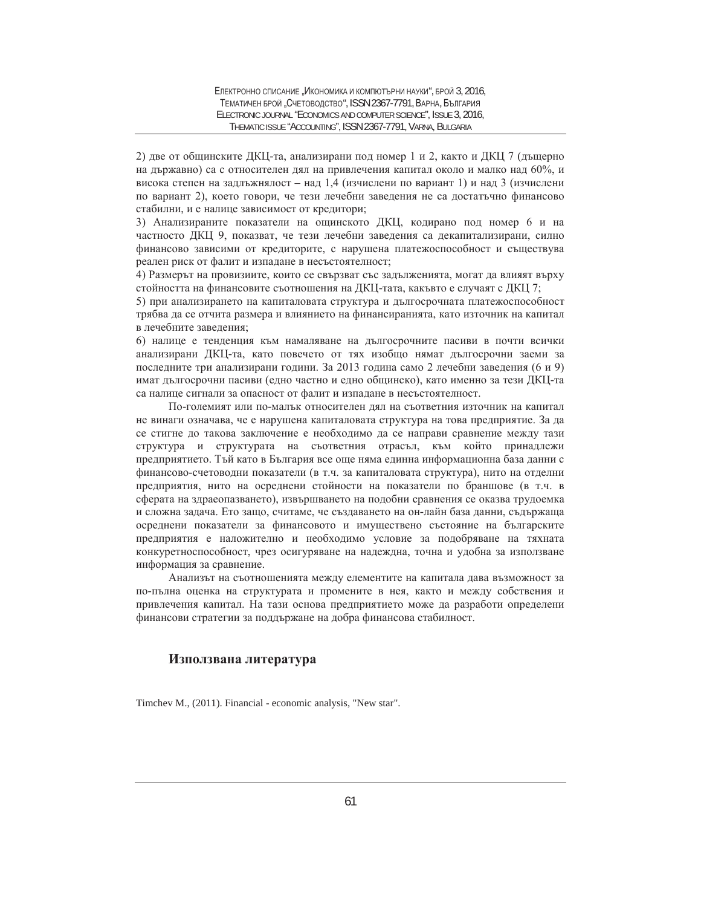2) две от общинските ДКЦ-та, анализирани под номер 1 и 2, както и ДКЦ 7 (дъщерно на държавно) са с относителен дял на привлечения капитал около и малко над 60%, и висока степен на задлъжнялост – над 1,4 (изчислени по вариант 1) и над 3 (изчислени по вариант 2), което говори, че тези лечебни заведения не са достатьчно финансово стабилни, и е налице зависимост от кредитори;

3) Анализираните показатели на ощинското ДКЦ, кодирано под номер 6 и на частносто ДКЦ 9, показват, че тези лечебни заведения са декапитализирани, силно финансово зависими от кредиторите, с нарушена платежоспособност и съществува реален риск от фалит и изпадане в несъстоятелност;

4) Размерът на провизиите, които се свързват със задълженията, могат да влияят върху стойността на финансовите съотношения на ДКЦ-тата, какъвто е случаят с ДКЦ 7;

5) при анализирането на капиталовата структура и дългосрочната платежоспособност трябва да се отчита размера и влиянието на финансиранията, като източник на капитал в лечебните заведения;

6) налице е тенденция към намаляване на дългосрочните пасиви в почти всички анализирани ДКЦ-та, като повечето от тях изобщо нямат дългосрочни заеми за последните три анализирани години. За 2013 година само 2 лечебни заведения (6 и 9) имат дългосрочни пасиви (едно частно и едно общинско), като именно за тези ДКЦ-та са налице сигнали за опасност от фалит и изпадане в несъстоятелност.

По-големият или по-малък относителен дял на съответния източник на капитал не винаги означава, че е нарушена капиталовата структура на това предприятие. За да се стигне до такова заключение е необходимо да се направи сравнение между тази структура и структурата на съответния отрасъл, към който принадлежи предприятието. Тъй като в България все още няма единна информационна база данни с финансово-счетоводни показатели (в т.ч. за капиталовата структура), нито на отделни предприятия, нито на осреднени стойности на показатели по браншове (в т.ч. в сферата на здраеопазването), извършването на подобни сравнения се оказва трудоемка и сложна задача. Ето защо, считаме, че създаването на он-лайн база данни, съдържаща осреднени показатели за финансовото и имуществено състояние на българските предприятия е наложително и необходимо условие за подобряване на тяхната конкуретноспособност, чрез осигуряване на надеждна, точна и удобна за използване информация за сравнение.

Анализът на съотношенията между елементите на капитала дава възможност за по-пълна оценка на структурата и промените в нея, както и между собствения и привлечения капитал. На тази основа предприятието може да разработи определени финансови стратегии за поддържане на добра финансова стабилност.

# **Използвана литература**

Timchev M., (2011). Financial - economic analysis, "New star".